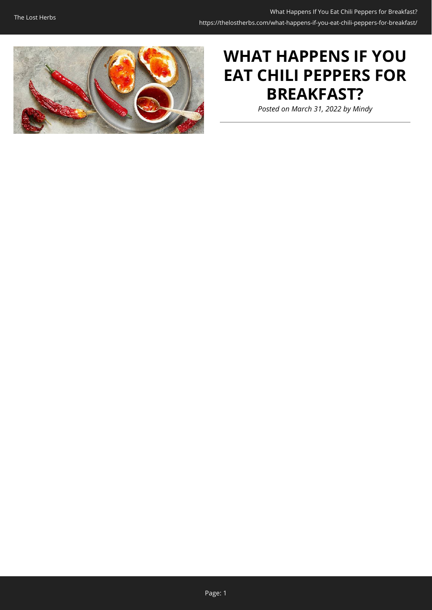

# **WHAT HAPPENS IF YOU EAT CHILI PEPPERS FOR BREAKFAST?**

*Posted on March 31, 2022 by Mindy*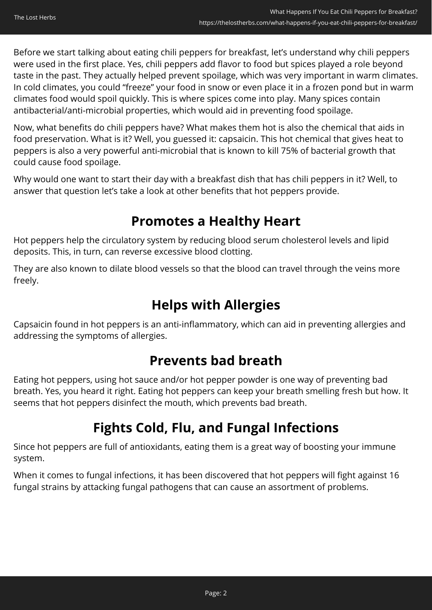Before we start talking about eating chili peppers for breakfast, let's understand why chili peppers were used in the first place. Yes, chili peppers add flavor to food but spices played a role beyond taste in the past. They actually helped prevent spoilage, which was very important in warm climates. In cold climates, you could "freeze" your food in snow or even place it in a frozen pond but in warm climates food would spoil quickly. This is where spices come into play. Many spices contain antibacterial/anti-microbial properties, which would aid in preventing food spoilage.

Now, what benefits do chili peppers have? What makes them hot is also the chemical that aids in food preservation. What is it? Well, you guessed it: capsaicin. This hot chemical that gives heat to peppers is also a very powerful anti-microbial that is known to kill 75% of bacterial growth that could cause food spoilage.

Why would one want to start their day with a breakfast dish that has chili peppers in it? Well, to answer that question let's take a look at other benefits that hot peppers provide.

### **Promotes a Healthy Heart**

Hot peppers help the circulatory system by reducing blood serum cholesterol levels and lipid deposits. This, in turn, can reverse excessive blood clotting.

They are also known to dilate blood vessels so that the blood can travel through the veins more freely.

### **Helps with Allergies**

Capsaicin found in hot peppers is an anti-inflammatory, which can aid in preventing allergies and addressing the symptoms of allergies.

### **Prevents bad breath**

Eating hot peppers, using hot sauce and/or hot pepper powder is one way of preventing bad breath. Yes, you heard it right. Eating hot peppers can keep your breath smelling fresh but how. It seems that hot peppers disinfect the mouth, which prevents bad breath.

## **Fights Cold, Flu, and Fungal Infections**

Since hot peppers are full of antioxidants, eating them is a great way of boosting your immune system.

When it comes to fungal infections, it has been discovered that hot peppers will fight against 16 fungal strains by attacking fungal pathogens that can cause an assortment of problems.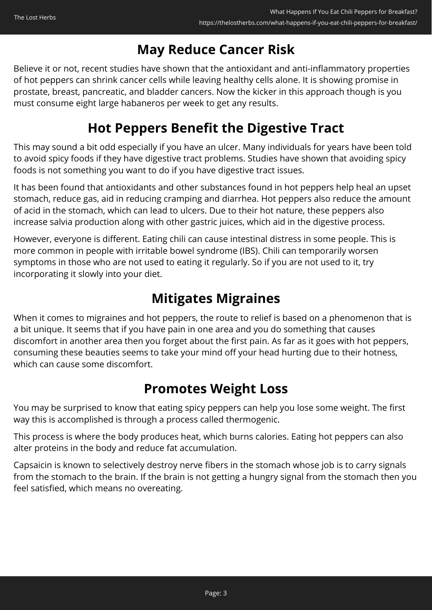### **May Reduce Cancer Risk**

Believe it or not, recent studies have shown that the antioxidant and anti-inflammatory properties of hot peppers can shrink cancer cells while leaving healthy cells alone. It is showing promise in prostate, breast, pancreatic, and bladder cancers. Now the kicker in this approach though is you must consume eight large habaneros per week to get any results.

### **Hot Peppers Benefit the Digestive Tract**

This may sound a bit odd especially if you have an ulcer. Many individuals for years have been told to avoid spicy foods if they have digestive tract problems. Studies have shown that avoiding spicy foods is not something you want to do if you have digestive tract issues.

It has been found that antioxidants and other substances found in hot peppers help heal an upset stomach, reduce gas, aid in reducing cramping and diarrhea. Hot peppers also reduce the amount of acid in the stomach, which can lead to ulcers. Due to their hot nature, these peppers also increase salvia production along with other gastric juices, which aid in the digestive process.

However, everyone is different. Eating chili can cause intestinal distress in some people. This is more common in people with irritable bowel syndrome (IBS). Chili can temporarily worsen symptoms in those who are not used to eating it regularly. So if you are not used to it, try incorporating it slowly into your diet.

### **Mitigates Migraines**

When it comes to migraines and hot peppers, the route to relief is based on a phenomenon that is a bit unique. It seems that if you have pain in one area and you do something that causes discomfort in another area then you forget about the first pain. As far as it goes with hot peppers, consuming these beauties seems to take your mind off your head hurting due to their hotness, which can cause some discomfort.

### **Promotes Weight Loss**

You may be surprised to know that eating spicy peppers can help you lose some weight. The first way this is accomplished is through a process called thermogenic.

This process is where the body produces heat, which burns calories. Eating hot peppers can also alter proteins in the body and reduce fat accumulation.

Capsaicin is known to selectively destroy nerve fibers in the stomach whose job is to carry signals from the stomach to the brain. If the brain is not getting a hungry signal from the stomach then you feel satisfied, which means no overeating.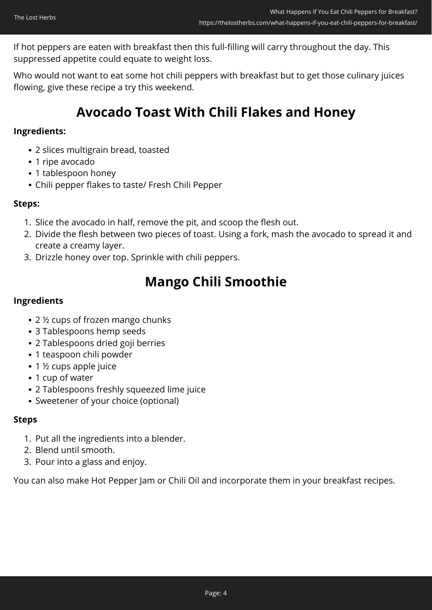If hot peppers are eaten with breakfast then this full-filling will carry throughout the day. This suppressed appetite could equate to weight loss.

Who would not want to eat some hot chili peppers with breakfast but to get those culinary juices flowing, give these recipe a try this weekend.

### **Avocado Toast With Chili Flakes and Honey**

#### **Ingredients:**

- 2 slices multigrain bread, toasted
- 1 ripe avocado
- 1 tablespoon honey
- Chili pepper flakes to taste/ Fresh Chili Pepper

#### **Steps:**

- 1. Slice the avocado in half, remove the pit, and scoop the flesh out.
- 2. Divide the flesh between two pieces of toast. Using a fork, mash the avocado to spread it and create a creamy layer.
- 3. Drizzle honey over top. Sprinkle with chili peppers.

### **Mango Chili Smoothie**

#### **Ingredients**

- 2 <sup>1/2</sup> cups of frozen mango chunks
- 3 Tablespoons hemp seeds
- 2 Tablespoons dried goji berries
- 1 teaspoon chili powder
- 1 ½ cups apple juice
- 1 cup of water
- 2 Tablespoons freshly squeezed lime juice
- Sweetener of your choice (optional)

#### **Steps**

- 1. Put all the ingredients into a blender.
- 2. Blend until smooth.
- 3. Pour into a glass and enjoy.

You can also make Hot Pepper Jam or Chili Oil and incorporate them in your breakfast recipes.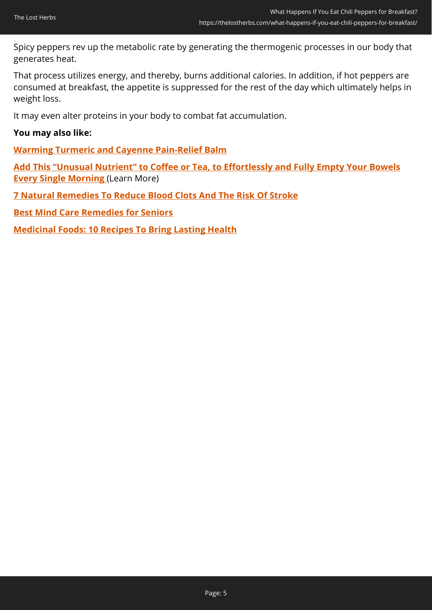Spicy peppers rev up the metabolic rate by generating the thermogenic processes in our body that generates heat.

That process utilizes energy, and thereby, burns additional calories. In addition, if hot peppers are consumed at breakfast, the appetite is suppressed for the rest of the day which ultimately helps in weight loss.

It may even alter proteins in your body to combat fat accumulation.

#### **You may also like:**

**[Warming Turmeric and Cayenne Pain-Relief Balm](https://thelostherbs.com/warming-turmeric-and-cayenne-pain-relief-balm/)**

**[Add This "Unusual Nutrient" to Coffee or Tea, to Effortlessly and Fully Empty Your Bowels](https://hop.clickbank.net/?affiliate=easycellar&vendor=peakbiome&tid=C02ChiliBreakfastPBB) [Every Single Morning](https://hop.clickbank.net/?affiliate=easycellar&vendor=peakbiome&tid=C02ChiliBreakfastPBB)** (Learn More)

**[7 Natural Remedies To Reduce Blood Clots And The Risk Of Stroke](https://thelostherbs.com/7-natural-remedies-to-reduce-blood-clots-and-the-risk-of-stroke/)**

**[Best Mind Care Remedies for Seniors](https://thelostherbs.com/best-mind-care-remedies-for-seniors/)**

**[Medicinal Foods: 10 Recipes To Bring Lasting Health](https://thelostherbs.com/medicinal-foods-10-recipes-to-bring-lasting-health/)**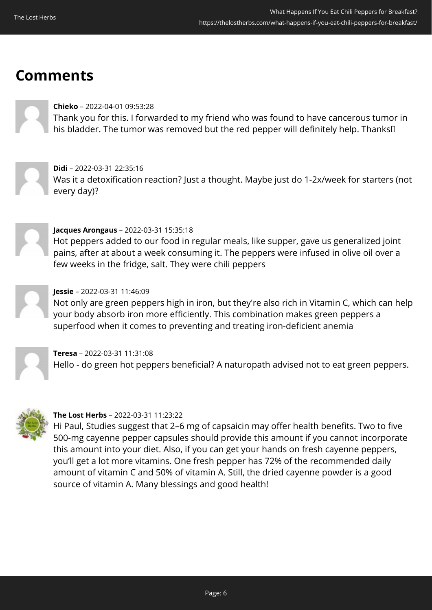# **Comments**

#### **Chieko** – 2022-04-01 09:53:28

Thank you for this. I forwarded to my friend who was found to have cancerous tumor in his bladder. The tumor was removed but the red pepper will definitely help. Thanks<sup>[]</sup>

#### **Didi** – 2022-03-31 22:35:16

Was it a detoxification reaction? Just a thought. Maybe just do 1-2x/week for starters (not every day)?



#### **Jacques Arongaus** – 2022-03-31 15:35:18

Hot peppers added to our food in regular meals, like supper, gave us generalized joint pains, after at about a week consuming it. The peppers were infused in olive oil over a few weeks in the fridge, salt. They were chili peppers



#### **Jessie** – 2022-03-31 11:46:09

Not only are green peppers high in iron, but they're also rich in Vitamin C, which can help your body absorb iron more efficiently. This combination makes green peppers a superfood when it comes to preventing and treating iron-deficient anemia

**Teresa** – 2022-03-31 11:31:08 Hello - do green hot peppers beneficial? A naturopath advised not to eat green peppers.



#### **The Lost Herbs** – 2022-03-31 11:23:22

Hi Paul, Studies suggest that 2–6 mg of capsaicin may offer health benefits. Two to five 500-mg cayenne pepper capsules should provide this amount if you cannot incorporate this amount into your diet. Also, if you can get your hands on fresh cayenne peppers, you'll get a lot more vitamins. One fresh pepper has 72% of the recommended daily amount of vitamin C and 50% of vitamin A. Still, the dried cayenne powder is a good source of vitamin A. Many blessings and good health!